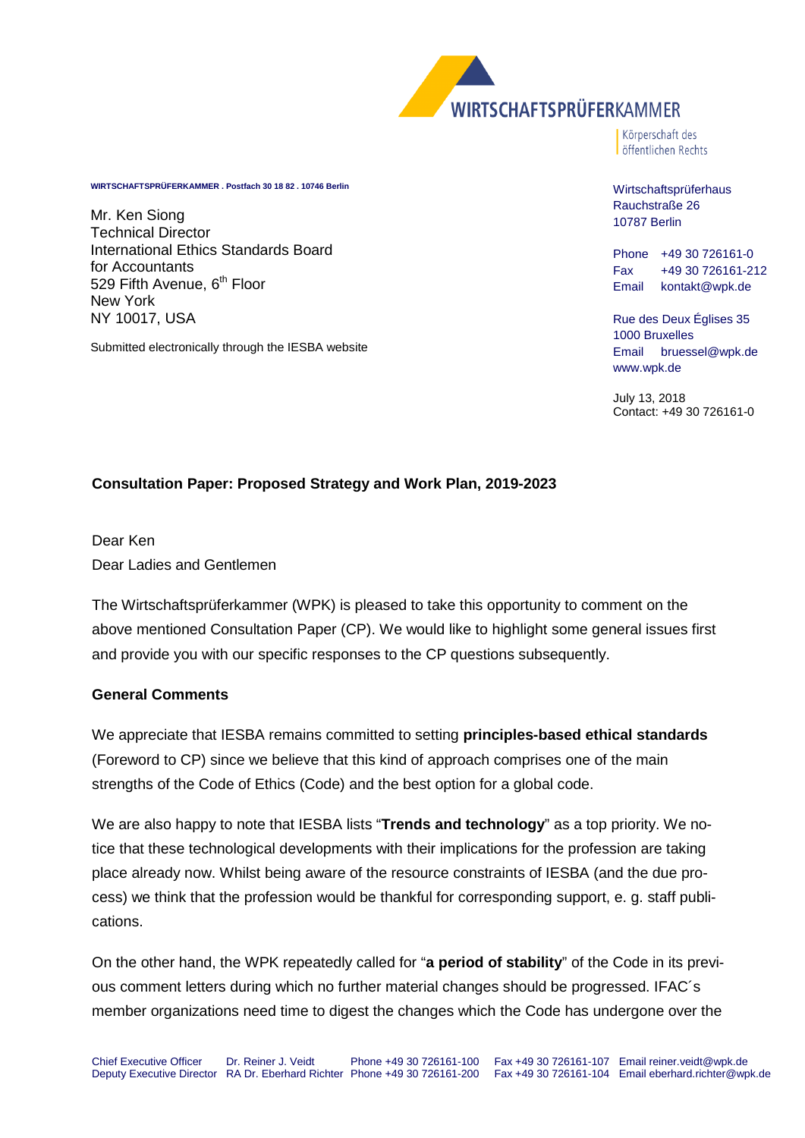

Körperschaft des

**WIRTSCHAFTSPRÜFERKAMMER . Postfach 30 18 82 . 10746 Berlin**

Mr. Ken Siong Technical Director International Ethics Standards Board for Accountants 529 Fifth Avenue, 6<sup>th</sup> Floor New York NY 10017, USA

Submitted electronically through the IESBA website

# öffentlichen Rechts

Wirtschaftsprüferhaus Rauchstraße 26 10787 Berlin

Phone +49 30 726161-0 Fax +49 30 726161-212 Email kontakt@wpk.de

Rue des Deux Églises 35 1000 Bruxelles Email bruessel@wpk.de www.wpk.de

July 13, 2018 Contact: +49 30 726161-0

# **Consultation Paper: Proposed Strategy and Work Plan, 2019-2023**

Dear Ken Dear Ladies and Gentlemen

The Wirtschaftsprüferkammer (WPK) is pleased to take this opportunity to comment on the above mentioned Consultation Paper (CP). We would like to highlight some general issues first and provide you with our specific responses to the CP questions subsequently.

### **General Comments**

We appreciate that IESBA remains committed to setting **principles-based ethical standards** (Foreword to CP) since we believe that this kind of approach comprises one of the main strengths of the Code of Ethics (Code) and the best option for a global code.

We are also happy to note that IESBA lists "**Trends and technology**" as a top priority. We notice that these technological developments with their implications for the profession are taking place already now. Whilst being aware of the resource constraints of IESBA (and the due process) we think that the profession would be thankful for corresponding support, e. g. staff publications.

On the other hand, the WPK repeatedly called for "**a period of stability**" of the Code in its previous comment letters during which no further material changes should be progressed. IFAC´s member organizations need time to digest the changes which the Code has undergone over the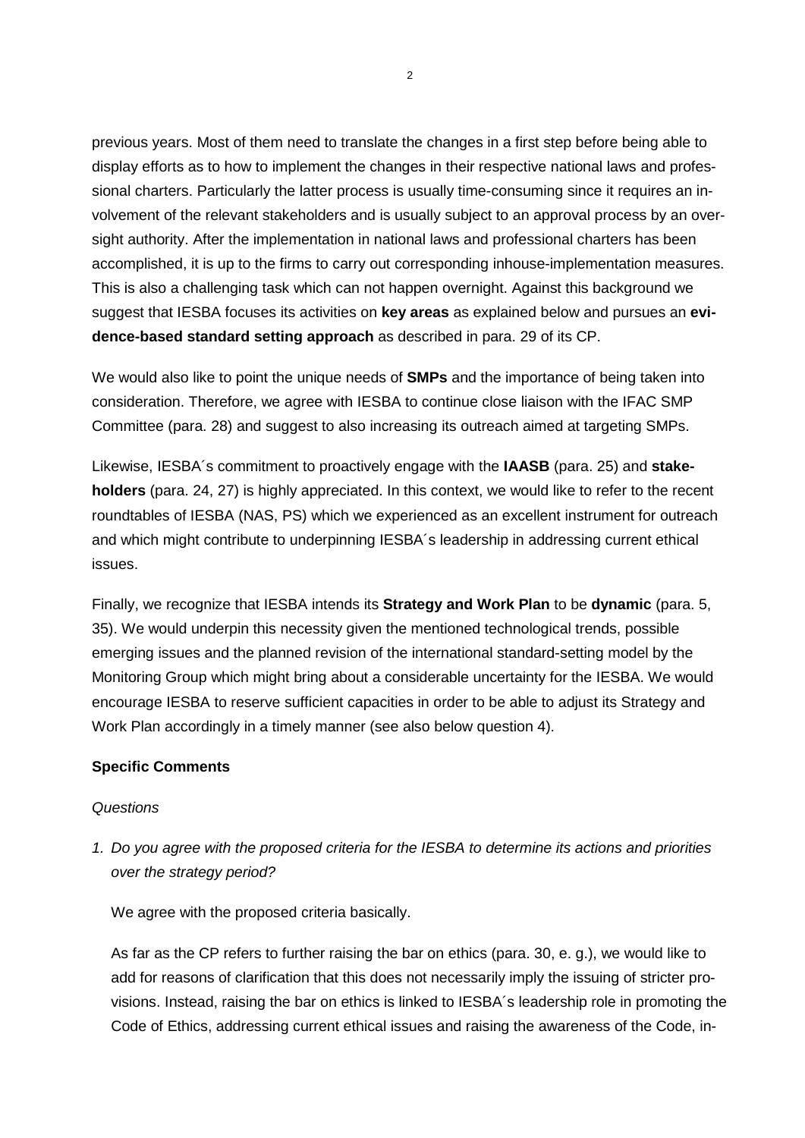previous years. Most of them need to translate the changes in a first step before being able to display efforts as to how to implement the changes in their respective national laws and professional charters. Particularly the latter process is usually time-consuming since it requires an involvement of the relevant stakeholders and is usually subject to an approval process by an oversight authority. After the implementation in national laws and professional charters has been accomplished, it is up to the firms to carry out corresponding inhouse-implementation measures. This is also a challenging task which can not happen overnight. Against this background we suggest that IESBA focuses its activities on **key areas** as explained below and pursues an **evidence-based standard setting approach** as described in para. 29 of its CP.

We would also like to point the unique needs of **SMPs** and the importance of being taken into consideration. Therefore, we agree with IESBA to continue close liaison with the IFAC SMP Committee (para. 28) and suggest to also increasing its outreach aimed at targeting SMPs.

Likewise, IESBA´s commitment to proactively engage with the **IAASB** (para. 25) and **stakeholders** (para. 24, 27) is highly appreciated. In this context, we would like to refer to the recent roundtables of IESBA (NAS, PS) which we experienced as an excellent instrument for outreach and which might contribute to underpinning IESBA´s leadership in addressing current ethical issues.

Finally, we recognize that IESBA intends its **Strategy and Work Plan** to be **dynamic** (para. 5, 35). We would underpin this necessity given the mentioned technological trends, possible emerging issues and the planned revision of the international standard-setting model by the Monitoring Group which might bring about a considerable uncertainty for the IESBA. We would encourage IESBA to reserve sufficient capacities in order to be able to adjust its Strategy and Work Plan accordingly in a timely manner (see also below question 4).

# **Specific Comments**

### *Questions*

*1. Do you agree with the proposed criteria for the IESBA to determine its actions and priorities over the strategy period?* 

We agree with the proposed criteria basically.

As far as the CP refers to further raising the bar on ethics (para. 30, e. g.), we would like to add for reasons of clarification that this does not necessarily imply the issuing of stricter provisions. Instead, raising the bar on ethics is linked to IESBA´s leadership role in promoting the Code of Ethics, addressing current ethical issues and raising the awareness of the Code, in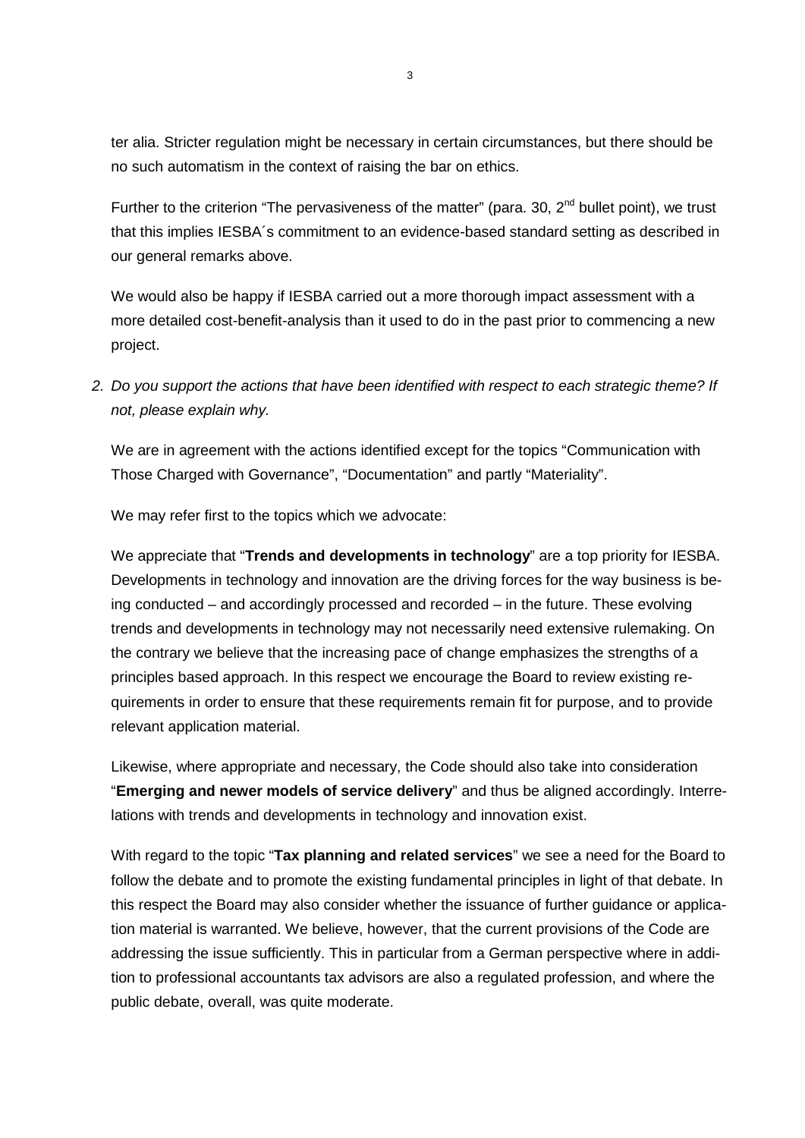ter alia. Stricter regulation might be necessary in certain circumstances, but there should be no such automatism in the context of raising the bar on ethics.

Further to the criterion "The pervasiveness of the matter" (para. 30,  $2^{nd}$  bullet point), we trust that this implies IESBA´s commitment to an evidence-based standard setting as described in our general remarks above.

We would also be happy if IESBA carried out a more thorough impact assessment with a more detailed cost-benefit-analysis than it used to do in the past prior to commencing a new project.

*2. Do you support the actions that have been identified with respect to each strategic theme? If not, please explain why.*

We are in agreement with the actions identified except for the topics "Communication with Those Charged with Governance", "Documentation" and partly "Materiality".

We may refer first to the topics which we advocate:

We appreciate that "**Trends and developments in technology**" are a top priority for IESBA. Developments in technology and innovation are the driving forces for the way business is being conducted – and accordingly processed and recorded – in the future. These evolving trends and developments in technology may not necessarily need extensive rulemaking. On the contrary we believe that the increasing pace of change emphasizes the strengths of a principles based approach. In this respect we encourage the Board to review existing requirements in order to ensure that these requirements remain fit for purpose, and to provide relevant application material.

Likewise, where appropriate and necessary, the Code should also take into consideration "**Emerging and newer models of service delivery**" and thus be aligned accordingly. Interrelations with trends and developments in technology and innovation exist.

With regard to the topic "**Tax planning and related services**" we see a need for the Board to follow the debate and to promote the existing fundamental principles in light of that debate. In this respect the Board may also consider whether the issuance of further guidance or application material is warranted. We believe, however, that the current provisions of the Code are addressing the issue sufficiently. This in particular from a German perspective where in addition to professional accountants tax advisors are also a regulated profession, and where the public debate, overall, was quite moderate.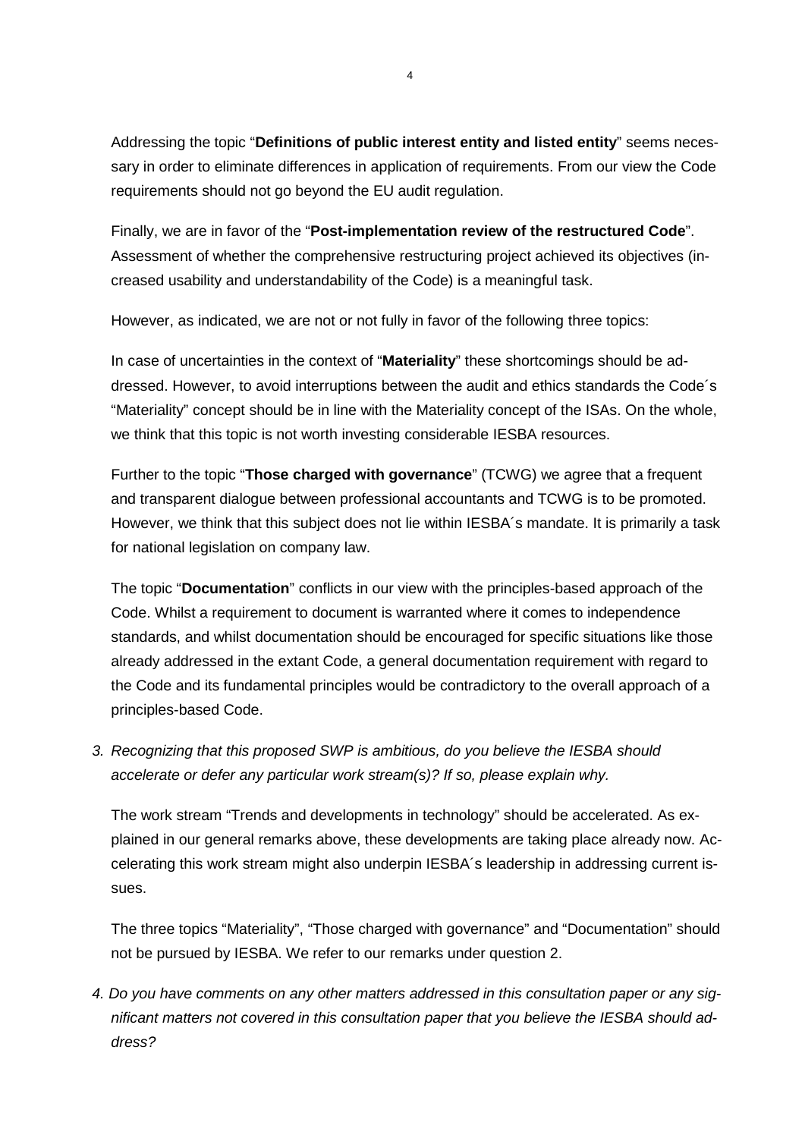Addressing the topic "**Definitions of public interest entity and listed entity**" seems necessary in order to eliminate differences in application of requirements. From our view the Code requirements should not go beyond the EU audit regulation.

Finally, we are in favor of the "**Post-implementation review of the restructured Code**". Assessment of whether the comprehensive restructuring project achieved its objectives (increased usability and understandability of the Code) is a meaningful task.

However, as indicated, we are not or not fully in favor of the following three topics:

In case of uncertainties in the context of "**Materiality**" these shortcomings should be addressed. However, to avoid interruptions between the audit and ethics standards the Code´s "Materiality" concept should be in line with the Materiality concept of the ISAs. On the whole, we think that this topic is not worth investing considerable IESBA resources.

Further to the topic "**Those charged with governance**" (TCWG) we agree that a frequent and transparent dialogue between professional accountants and TCWG is to be promoted. However, we think that this subject does not lie within IESBA´s mandate. It is primarily a task for national legislation on company law.

The topic "**Documentation**" conflicts in our view with the principles-based approach of the Code. Whilst a requirement to document is warranted where it comes to independence standards, and whilst documentation should be encouraged for specific situations like those already addressed in the extant Code, a general documentation requirement with regard to the Code and its fundamental principles would be contradictory to the overall approach of a principles-based Code.

*3. Recognizing that this proposed SWP is ambitious, do you believe the IESBA should accelerate or defer any particular work stream(s)? If so, please explain why.*

The work stream "Trends and developments in technology" should be accelerated. As explained in our general remarks above, these developments are taking place already now. Accelerating this work stream might also underpin IESBA´s leadership in addressing current issues.

The three topics "Materiality", "Those charged with governance" and "Documentation" should not be pursued by IESBA. We refer to our remarks under question 2.

*4. Do you have comments on any other matters addressed in this consultation paper or any significant matters not covered in this consultation paper that you believe the IESBA should address?*